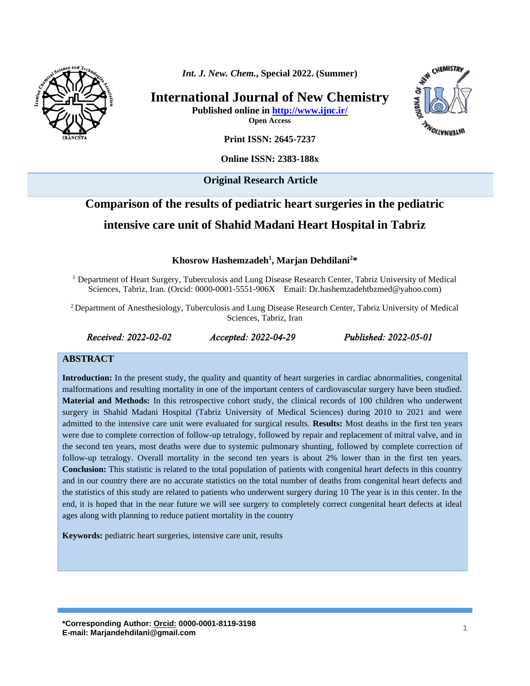

*Int. J. New. Chem.***, Special 2022. (Summer)**

**International Journal of New Chemistry Published online in<http://www.ijnc.ir/>**

INTERNATIONS

CHEMISTRY

**Open Access Print ISSN: 2645-7237**

**Online ISSN: 2383-188x** 

**Original Research Article** 

# **Comparison of the results of pediatric heart surgeries in the pediatric intensive care unit of Shahid Madani Heart Hospital in Tabriz**

**Khosrow Hashemzadeh<sup>1</sup> , Marjan Dehdilani 2\***

<sup>1</sup> Department of Heart Surgery, Tuberculosis and Lung Disease Research Center, Tabriz University of Medical Sciences, Tabriz, Iran. (Orcid: 0000-0001-5551-906X Email: [Dr.hashemzadehtbzmed@yahoo.com\)](mailto:Dr.hashemzadehtbzmed@yahoo.com)

<sup>2</sup> Department of Anesthesiology, Tuberculosis and Lung Disease Research Center, Tabriz University of Medical Sciences, Tabriz, Iran

*Received: 2022-02-02 Accepted: 2022-04-29 Published: 2022-05-01* 

#### **ABSTRACT**

**Introduction:** In the present study, the quality and quantity of heart surgeries in cardiac abnormalities, congenital malformations and resulting mortality in one of the important centers of cardiovascular surgery have been studied. **Material and Methods:** In this retrospective cohort study, the clinical records of 100 children who underwent surgery in Shahid Madani Hospital (Tabriz University of Medical Sciences) during 2010 to 2021 and were admitted to the intensive care unit were evaluated for surgical results. **Results:** Most deaths in the first ten years were due to complete correction of follow-up tetralogy, followed by repair and replacement of mitral valve, and in the second ten years, most deaths were due to systemic pulmonary shunting, followed by complete correction of follow-up tetralogy. Overall mortality in the second ten years is about 2% lower than in the first ten years. **Conclusion:** This statistic is related to the total population of patients with congenital heart defects in this country and in our country there are no accurate statistics on the total number of deaths from congenital heart defects and the statistics of this study are related to patients who underwent surgery during 10 The year is in this center. In the end, it is hoped that in the near future we will see surgery to completely correct congenital heart defects at ideal ages along with planning to reduce patient mortality in the country

**Keywords:** pediatric heart surgeries, intensive care unit, results

**\*Corresponding Author[: Orcid:](https://orcid.org/0000-0003-3231-9326) 0000-0001-8119-3198 E-mail: Marjandehdilani@gmail.com <sup>1</sup>**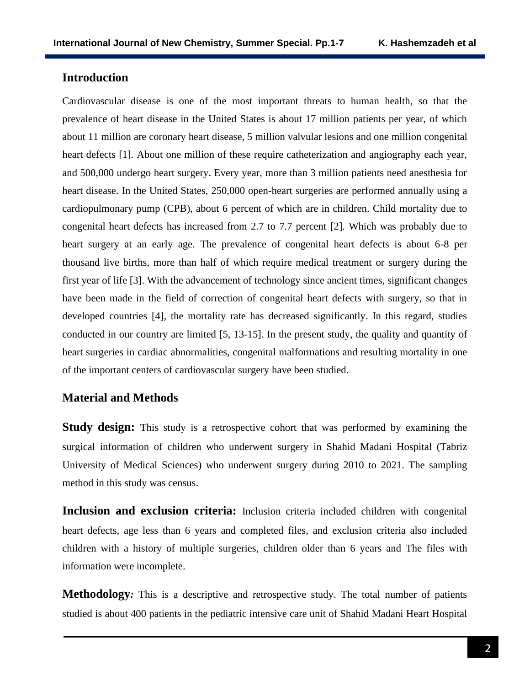## **Introduction**

Cardiovascular disease is one of the most important threats to human health, so that the prevalence of heart disease in the United States is about 17 million patients per year, of which about 11 million are coronary heart disease, 5 million valvular lesions and one million congenital heart defects [1]. About one million of these require catheterization and angiography each year, and 500,000 undergo heart surgery. Every year, more than 3 million patients need anesthesia for heart disease. In the United States, 250,000 open-heart surgeries are performed annually using a cardiopulmonary pump (CPB), about 6 percent of which are in children. Child mortality due to congenital heart defects has increased from 2.7 to 7.7 percent [2]. Which was probably due to heart surgery at an early age. The prevalence of congenital heart defects is about 6-8 per thousand live births, more than half of which require medical treatment or surgery during the first year of life [3]. With the advancement of technology since ancient times, significant changes have been made in the field of correction of congenital heart defects with surgery, so that in developed countries [4], the mortality rate has decreased significantly. In this regard, studies conducted in our country are limited [5, 13-15]. In the present study, the quality and quantity of heart surgeries in cardiac abnormalities, congenital malformations and resulting mortality in one of the important centers of cardiovascular surgery have been studied.

## **Material and Methods**

**Study design:** This study is a retrospective cohort that was performed by examining the surgical information of children who underwent surgery in Shahid Madani Hospital (Tabriz University of Medical Sciences) who underwent surgery during 2010 to 2021. The sampling method in this study was census.

**Inclusion and exclusion criteria:** Inclusion criteria included children with congenital heart defects, age less than 6 years and completed files, and exclusion criteria also included children with a history of multiple surgeries, children older than 6 years and The files with information were incomplete.

**Methodology**: This is a descriptive and retrospective study. The total number of patients studied is about 400 patients in the pediatric intensive care unit of Shahid Madani Heart Hospital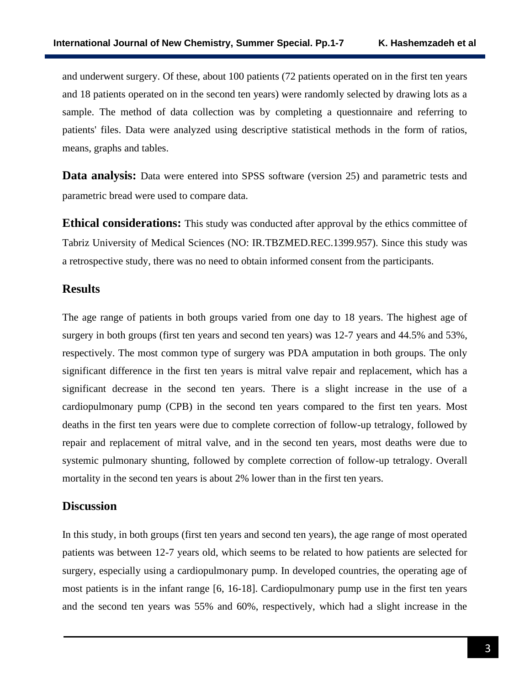and underwent surgery. Of these, about 100 patients (72 patients operated on in the first ten years and 18 patients operated on in the second ten years) were randomly selected by drawing lots as a sample. The method of data collection was by completing a questionnaire and referring to patients' files. Data were analyzed using descriptive statistical methods in the form of ratios, means, graphs and tables.

**Data analysis:** Data were entered into SPSS software (version 25) and parametric tests and parametric bread were used to compare data.

**Ethical considerations:** This study was conducted after approval by the ethics committee of Tabriz University of Medical Sciences (NO: [IR.TBZMED.REC.1399.957\)](http://ethics.research.ac.ir/IR.TBZMED.REC.1399.957). Since this study was a retrospective study, there was no need to obtain informed consent from the participants.

### **Results**

The age range of patients in both groups varied from one day to 18 years. The highest age of surgery in both groups (first ten years and second ten years) was 12-7 years and 44.5% and 53%, respectively. The most common type of surgery was PDA amputation in both groups. The only significant difference in the first ten years is mitral valve repair and replacement, which has a significant decrease in the second ten years. There is a slight increase in the use of a cardiopulmonary pump (CPB) in the second ten years compared to the first ten years. Most deaths in the first ten years were due to complete correction of follow-up tetralogy, followed by repair and replacement of mitral valve, and in the second ten years, most deaths were due to systemic pulmonary shunting, followed by complete correction of follow-up tetralogy. Overall mortality in the second ten years is about 2% lower than in the first ten years.

## **Discussion**

In this study, in both groups (first ten years and second ten years), the age range of most operated patients was between 12-7 years old, which seems to be related to how patients are selected for surgery, especially using a cardiopulmonary pump. In developed countries, the operating age of most patients is in the infant range [6, 16-18]. Cardiopulmonary pump use in the first ten years and the second ten years was 55% and 60%, respectively, which had a slight increase in the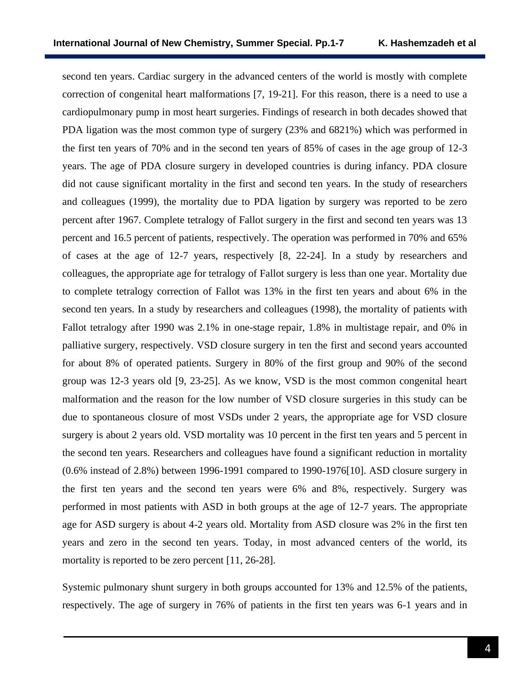second ten years. Cardiac surgery in the advanced centers of the world is mostly with complete correction of congenital heart malformations [7, 19-21]. For this reason, there is a need to use a cardiopulmonary pump in most heart surgeries. Findings of research in both decades showed that PDA ligation was the most common type of surgery (23% and 6821%) which was performed in the first ten years of 70% and in the second ten years of 85% of cases in the age group of 12-3 years. The age of PDA closure surgery in developed countries is during infancy. PDA closure did not cause significant mortality in the first and second ten years. In the study of researchers and colleagues (1999), the mortality due to PDA ligation by surgery was reported to be zero percent after 1967. Complete tetralogy of Fallot surgery in the first and second ten years was 13 percent and 16.5 percent of patients, respectively. The operation was performed in 70% and 65% of cases at the age of 12-7 years, respectively [8, 22-24]. In a study by researchers and colleagues, the appropriate age for tetralogy of Fallot surgery is less than one year. Mortality due to complete tetralogy correction of Fallot was 13% in the first ten years and about 6% in the second ten years. In a study by researchers and colleagues (1998), the mortality of patients with Fallot tetralogy after 1990 was 2.1% in one-stage repair, 1.8% in multistage repair, and 0% in palliative surgery, respectively. VSD closure surgery in ten the first and second years accounted for about 8% of operated patients. Surgery in 80% of the first group and 90% of the second group was 12-3 years old [9, 23-25]. As we know, VSD is the most common congenital heart malformation and the reason for the low number of VSD closure surgeries in this study can be due to spontaneous closure of most VSDs under 2 years, the appropriate age for VSD closure surgery is about 2 years old. VSD mortality was 10 percent in the first ten years and 5 percent in the second ten years. Researchers and colleagues have found a significant reduction in mortality (0.6% instead of 2.8%) between 1996-1991 compared to 1990-1976[10]. ASD closure surgery in the first ten years and the second ten years were 6% and 8%, respectively. Surgery was performed in most patients with ASD in both groups at the age of 12-7 years. The appropriate age for ASD surgery is about 4-2 years old. Mortality from ASD closure was 2% in the first ten years and zero in the second ten years. Today, in most advanced centers of the world, its mortality is reported to be zero percent [11, 26-28].

Systemic pulmonary shunt surgery in both groups accounted for 13% and 12.5% of the patients, respectively. The age of surgery in 76% of patients in the first ten years was 6-1 years and in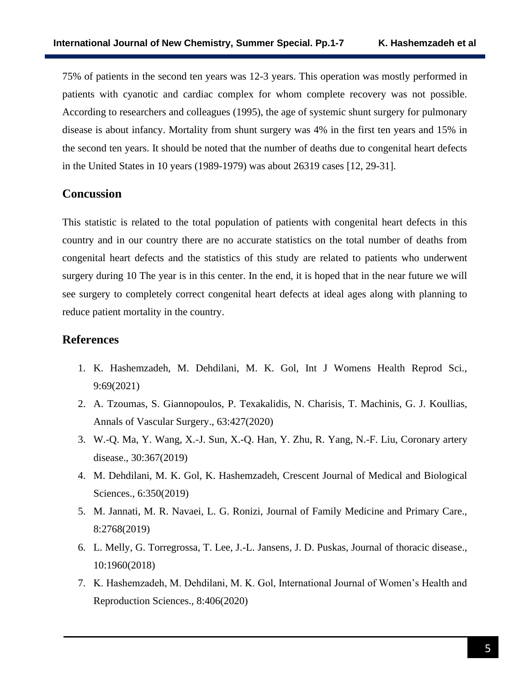75% of patients in the second ten years was 12-3 years. This operation was mostly performed in patients with cyanotic and cardiac complex for whom complete recovery was not possible. According to researchers and colleagues (1995), the age of systemic shunt surgery for pulmonary disease is about infancy. Mortality from shunt surgery was 4% in the first ten years and 15% in the second ten years. It should be noted that the number of deaths due to congenital heart defects in the United States in 10 years (1989-1979) was about 26319 cases [12, 29-31].

## **Concussion**

This statistic is related to the total population of patients with congenital heart defects in this country and in our country there are no accurate statistics on the total number of deaths from congenital heart defects and the statistics of this study are related to patients who underwent surgery during 10 The year is in this center. In the end, it is hoped that in the near future we will see surgery to completely correct congenital heart defects at ideal ages along with planning to reduce patient mortality in the country.

## **References**

- 1. K. Hashemzadeh, M. Dehdilani, M. K. Gol, Int J Womens Health Reprod Sci., 9:69(2021)
- 2. A. Tzoumas, S. Giannopoulos, P. Texakalidis, N. Charisis, T. Machinis, G. J. Koullias, Annals of Vascular Surgery., 63:427(2020)
- 3. W.-Q. Ma, Y. Wang, X.-J. Sun, X.-Q. Han, Y. Zhu, R. Yang, N.-F. Liu, Coronary artery disease., 30:367(2019)
- 4. M. Dehdilani, M. K. Gol, K. Hashemzadeh, Crescent Journal of Medical and Biological Sciences., 6:350(2019)
- 5. M. Jannati, M. R. Navaei, L. G. Ronizi, Journal of Family Medicine and Primary Care., 8:2768(2019)
- 6. L. Melly, G. Torregrossa, T. Lee, J.-L. Jansens, J. D. Puskas, Journal of thoracic disease., 10:1960(2018)
- 7. K. Hashemzadeh, M. Dehdilani, M. K. Gol, International Journal of Women's Health and Reproduction Sciences., 8:406(2020)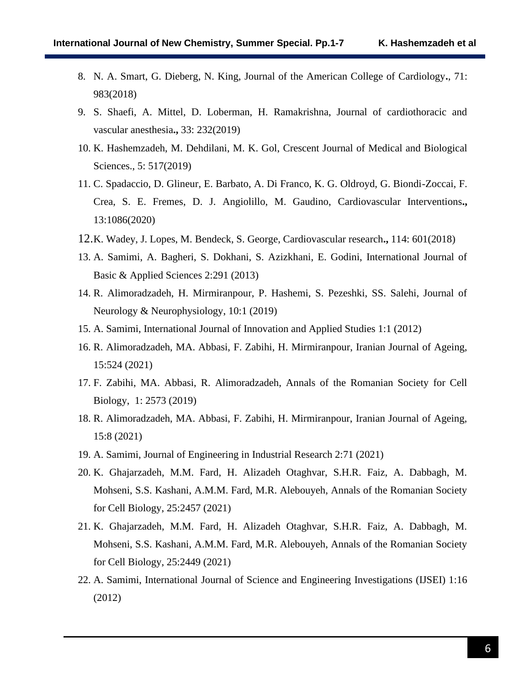- 8. N. A. Smart, G. Dieberg, N. King, Journal of the American College of Cardiology**.**, 71: 983(2018)
- 9. S. Shaefi, A. Mittel, D. Loberman, H. Ramakrishna, Journal of cardiothoracic and vascular anesthesia**.,** 33: 232(2019)
- 10. K. Hashemzadeh, M. Dehdilani, M. K. Gol, Crescent Journal of Medical and Biological Sciences., 5: 517(2019)
- 11. C. Spadaccio, D. Glineur, E. Barbato, A. Di Franco, K. G. Oldroyd, G. Biondi-Zoccai, F. Crea, S. E. Fremes, D. J. Angiolillo, M. Gaudino, Cardiovascular Interventions**.,** 13:1086(2020)
- 12.K. Wadey, J. Lopes, M. Bendeck, S. George, Cardiovascular research**.,** 114: 601(2018)
- 13. A. Samimi, A. Bagheri, S. Dokhani, S. Azizkhani, E. Godini, International Journal of Basic & Applied Sciences 2:291 (2013)
- 14. R. Alimoradzadeh, H. Mirmiranpour, P. Hashemi, S. Pezeshki, SS. Salehi, Journal of Neurology & Neurophysiology, 10:1 (2019)
- 15. A. Samimi, International Journal of Innovation and Applied Studies 1:1 (2012)
- 16. R. Alimoradzadeh, MA. Abbasi, F. Zabihi, H. Mirmiranpour, Iranian Journal of Ageing, 15:524 (2021)
- 17. F. Zabihi, MA. Abbasi, R. Alimoradzadeh, Annals of the Romanian Society for Cell Biology, 1: 2573 (2019)
- 18. R. Alimoradzadeh, MA. Abbasi, F. Zabihi, H. Mirmiranpour, Iranian Journal of Ageing, 15:8 (2021)
- 19. A. Samimi, Journal of Engineering in Industrial Research 2:71 (2021)
- 20. K. Ghajarzadeh, M.M. Fard, H. Alizadeh Otaghvar, S.H.R. Faiz, A. Dabbagh, M. Mohseni, S.S. Kashani, A.M.M. Fard, M.R. Alebouyeh, Annals of the Romanian Society for Cell Biology, 25:2457 (2021)
- 21. K. Ghajarzadeh, M.M. Fard, H. Alizadeh Otaghvar, S.H.R. Faiz, A. Dabbagh, M. Mohseni, S.S. Kashani, A.M.M. Fard, M.R. Alebouyeh, Annals of the Romanian Society for Cell Biology, 25:2449 (2021)
- 22. A. Samimi, International Journal of Science and Engineering Investigations (IJSEI) 1:16 (2012)